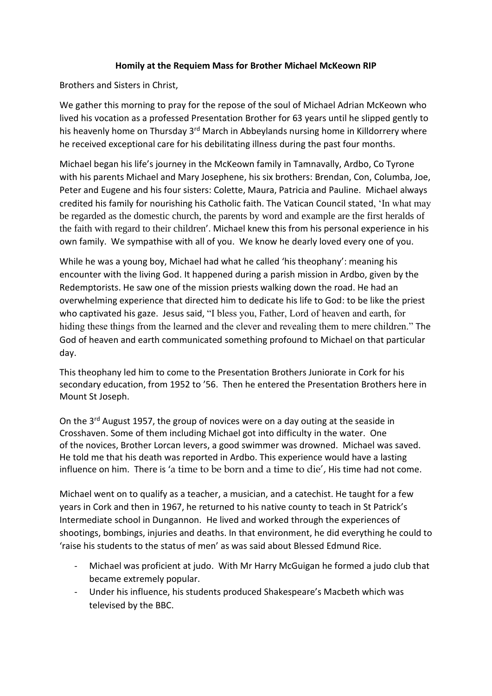## **Homily at the Requiem Mass for Brother Michael McKeown RIP**

Brothers and Sisters in Christ,

We gather this morning to pray for the repose of the soul of Michael Adrian McKeown who lived his vocation as a professed Presentation Brother for 63 years until he slipped gently to his heavenly home on Thursday 3<sup>rd</sup> March in Abbeylands nursing home in Killdorrery where he received exceptional care for his debilitating illness during the past four months.

Michael began his life's journey in the McKeown family in Tamnavally, Ardbo, Co Tyrone with his parents Michael and Mary Josephene, his six brothers: Brendan, Con, Columba, Joe, Peter and Eugene and his four sisters: Colette, Maura, Patricia and Pauline. Michael always credited his family for nourishing his Catholic faith. The Vatican Council stated, 'In what may be regarded as the domestic church, the parents by word and example are the first heralds of the faith with regard to their children'. Michael knew this from his personal experience in his own family. We sympathise with all of you. We know he dearly loved every one of you.

While he was a young boy, Michael had what he called 'his theophany': meaning his encounter with the living God. It happened during a parish mission in Ardbo, given by the Redemptorists. He saw one of the mission priests walking down the road. He had an overwhelming experience that directed him to dedicate his life to God: to be like the priest who captivated his gaze. Jesus said, "I bless you, Father, Lord of heaven and earth, for hiding these things from the learned and the clever and revealing them to mere children." The God of heaven and earth communicated something profound to Michael on that particular day.

This theophany led him to come to the Presentation Brothers Juniorate in Cork for his secondary education, from 1952 to '56. Then he entered the Presentation Brothers here in Mount St Joseph.

On the 3rd August 1957, the group of novices were on a day outing at the seaside in Crosshaven. Some of them including Michael got into difficulty in the water. One of the novices, Brother Lorcan Ievers, a good swimmer was drowned. Michael was saved. He told me that his death was reported in Ardbo. This experience would have a lasting influence on him. There is 'a time to be born and a time to die', His time had not come.

Michael went on to qualify as a teacher, a musician, and a catechist. He taught for a few years in Cork and then in 1967, he returned to his native county to teach in St Patrick's Intermediate school in Dungannon. He lived and worked through the experiences of shootings, bombings, injuries and deaths. In that environment, he did everything he could to 'raise his students to the status of men' as was said about Blessed Edmund Rice.

- Michael was proficient at judo. With Mr Harry McGuigan he formed a judo club that became extremely popular.
- Under his influence, his students produced Shakespeare's Macbeth which was televised by the BBC.